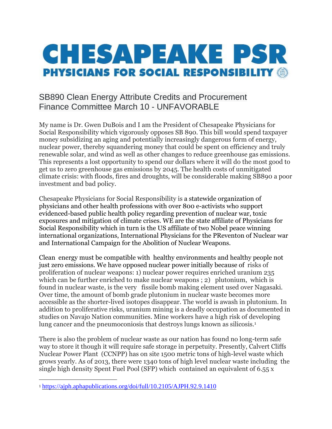## **CHESAPEAKE PSR PHYSICIANS FOR SOCIAL RESPONSIBILITY @**

## SB890 Clean Energy Attribute Credits and Procurement Finance Committee March 10 - UNFAVORABLE

My name is Dr. Gwen DuBois and I am the President of Chesapeake Physicians for Social Responsibility which vigorously opposes SB 890. This bill would spend taxpayer money subsidizing an aging and potentially increasingly dangerous form of energy, nuclear power, thereby squandering money that could be spent on efficiency and truly renewable solar, and wind as well as other changes to reduce greenhouse gas emissions. This represents a lost opportunity to spend our dollars where it will do the most good to get us to zero greenhouse gas emissions by 2045. The health costs of unmitigated climate crisis: with floods, fires and droughts, will be considerable making SB890 a poor investment and bad policy.

Chesapeake Physicians for Social Responsibility is a statewide organization of physicians and other health professions with over 800 e-activists who support evidenced-based public health policy regarding prevention of nuclear war, toxic exposures and mitigation of climate crises. WE are the state affiliate of Physicians for Social Responsibility which in turn is the US affiliate of two Nobel peace winning international organizations, International Physicians for the PReventon of Nuclear war and International Campaign for the Abolition of Nuclear Weapons.

Clean energy must be compatible with healthy environments and healthy people not just zero emissions. We have opposed nuclear power initially because of risks of proliferation of nuclear weapons: 1) nuclear power requires enriched uranium 235 which can be further enriched to make nuclear weapons ; 2) plutonium, which is found in nuclear waste, is the very fissile bomb making element used over Nagasaki. Over time, the amount of bomb grade plutonium in nuclear waste becomes more accessible as the shorter-lived isotopes disappear. The world is awash in plutonium. In addition to proliferative risks, uranium mining is a deadly occupation as documented in studies on Navajo Nation communities. Mine workers have a high risk of developing lung cancer and the pneumoconiosis that destroys lungs known as silicosis.<sup>1</sup>

There is also the problem of nuclear waste as our nation has found no long-term safe way to store it though it will require safe storage in perpetuity. Presently, Calvert Cliffs Nuclear Power Plant (CCNPP) has on site 1500 metric tons of high-level waste which grows yearly. As of 2013, there were 1340 tons of high level nuclear waste including the single high density Spent Fuel Pool (SFP) which contained an equivalent of 6.55 x

<sup>1</sup> <https://ajph.aphapublications.org/doi/full/10.2105/AJPH.92.9.1410>